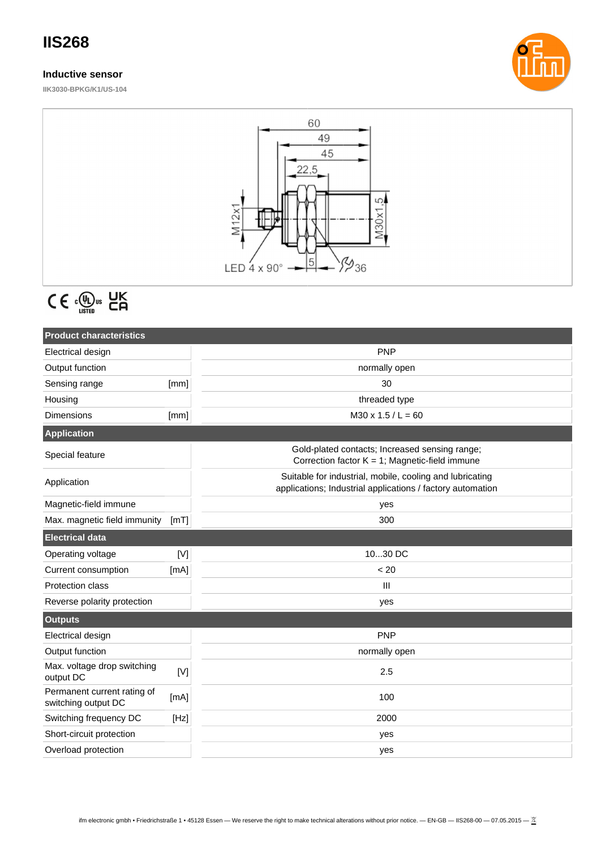## **IIS268**

### **Inductive sensor**

**IIK3030-BPKG/K1/US-104**





# $C \in \mathbb{Q}_{\text{LISTED}}^{\text{U}}$  as  $C \cap C$

| <b>Product characteristics</b>                     |      |                                                                                                                        |  |
|----------------------------------------------------|------|------------------------------------------------------------------------------------------------------------------------|--|
| Electrical design                                  |      | <b>PNP</b>                                                                                                             |  |
| Output function                                    |      | normally open                                                                                                          |  |
| Sensing range                                      | [mm] | 30                                                                                                                     |  |
| Housing                                            |      | threaded type                                                                                                          |  |
| <b>Dimensions</b>                                  | [mm] | $M30 \times 1.5 / L = 60$                                                                                              |  |
| <b>Application</b>                                 |      |                                                                                                                        |  |
| Special feature                                    |      | Gold-plated contacts; Increased sensing range;<br>Correction factor $K = 1$ ; Magnetic-field immune                    |  |
| Application                                        |      | Suitable for industrial, mobile, cooling and lubricating<br>applications; Industrial applications / factory automation |  |
| Magnetic-field immune                              |      | yes                                                                                                                    |  |
| Max. magnetic field immunity                       | [mT] | 300                                                                                                                    |  |
| <b>Electrical data</b>                             |      |                                                                                                                        |  |
| Operating voltage                                  | [V]  | 1030 DC                                                                                                                |  |
| Current consumption                                | [mA] | < 20                                                                                                                   |  |
| Protection class                                   |      | III                                                                                                                    |  |
| Reverse polarity protection                        |      | yes                                                                                                                    |  |
| <b>Outputs</b>                                     |      |                                                                                                                        |  |
| Electrical design                                  |      | <b>PNP</b>                                                                                                             |  |
| Output function                                    |      | normally open                                                                                                          |  |
| Max. voltage drop switching<br>output DC           | [V]  | 2.5                                                                                                                    |  |
| Permanent current rating of<br>switching output DC | [mA] | 100                                                                                                                    |  |
| Switching frequency DC                             | [Hz] | 2000                                                                                                                   |  |
| Short-circuit protection                           |      | yes                                                                                                                    |  |
| Overload protection                                |      | yes                                                                                                                    |  |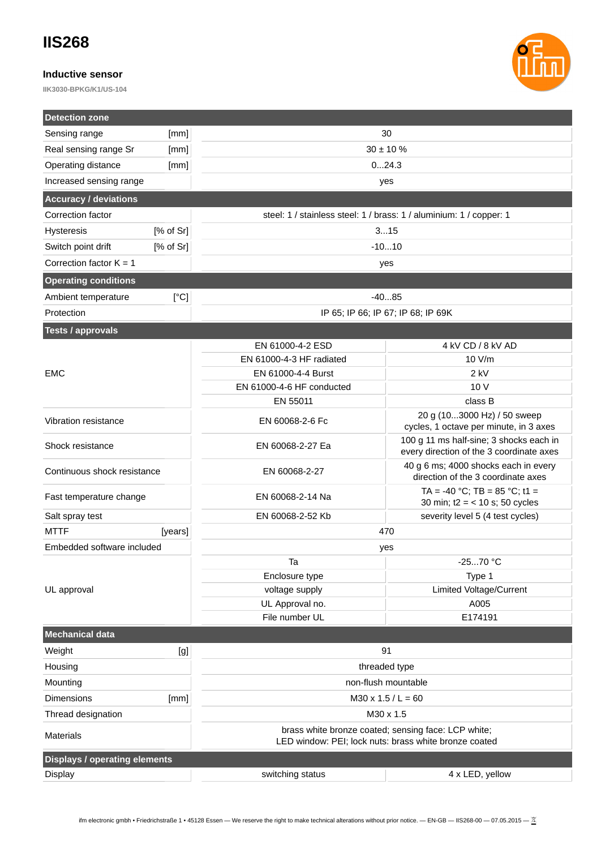### **IIS268**

### **Inductive sensor**

**IIK3030-BPKG/K1/US-104**



| <b>Detection zone</b>                |           |                                                                                                              |                                                                                     |  |  |
|--------------------------------------|-----------|--------------------------------------------------------------------------------------------------------------|-------------------------------------------------------------------------------------|--|--|
| Sensing range                        | [mm]      |                                                                                                              | 30                                                                                  |  |  |
| Real sensing range Sr                | [mm]      | $30 \pm 10 \%$                                                                                               |                                                                                     |  |  |
| Operating distance                   | [mm]      | 024.3                                                                                                        |                                                                                     |  |  |
| Increased sensing range              |           |                                                                                                              | yes                                                                                 |  |  |
| <b>Accuracy / deviations</b>         |           |                                                                                                              |                                                                                     |  |  |
| Correction factor                    |           | steel: 1 / stainless steel: 1 / brass: 1 / aluminium: 1 / copper: 1                                          |                                                                                     |  |  |
| <b>Hysteresis</b>                    | [% of Sr] | 315                                                                                                          |                                                                                     |  |  |
| [% of Sr]<br>Switch point drift      |           | $-1010$                                                                                                      |                                                                                     |  |  |
| Correction factor $K = 1$            |           |                                                                                                              | yes                                                                                 |  |  |
| <b>Operating conditions</b>          |           |                                                                                                              |                                                                                     |  |  |
| [°C]<br>Ambient temperature          |           | $-4085$                                                                                                      |                                                                                     |  |  |
| Protection                           |           | IP 65; IP 66; IP 67; IP 68; IP 69K                                                                           |                                                                                     |  |  |
| <b>Tests / approvals</b>             |           |                                                                                                              |                                                                                     |  |  |
|                                      |           | EN 61000-4-2 ESD                                                                                             | 4 KV CD / 8 KV AD                                                                   |  |  |
|                                      |           | EN 61000-4-3 HF radiated                                                                                     | 10 V/m                                                                              |  |  |
| <b>EMC</b>                           |           | EN 61000-4-4 Burst                                                                                           | $2$ kV                                                                              |  |  |
|                                      |           | EN 61000-4-6 HF conducted                                                                                    | 10 V                                                                                |  |  |
|                                      |           | EN 55011                                                                                                     | class B                                                                             |  |  |
| Vibration resistance                 |           | EN 60068-2-6 Fc                                                                                              | 20 g (103000 Hz) / 50 sweep<br>cycles, 1 octave per minute, in 3 axes               |  |  |
| Shock resistance                     |           | EN 60068-2-27 Ea                                                                                             | 100 g 11 ms half-sine; 3 shocks each in<br>every direction of the 3 coordinate axes |  |  |
| Continuous shock resistance          |           | EN 60068-2-27                                                                                                | 40 g 6 ms; 4000 shocks each in every<br>direction of the 3 coordinate axes          |  |  |
| Fast temperature change              |           | EN 60068-2-14 Na                                                                                             | TA = -40 °C; TB = 85 °C; t1 =<br>30 min; $t2 = 10$ s; 50 cycles                     |  |  |
| Salt spray test                      |           | EN 60068-2-52 Kb                                                                                             | severity level 5 (4 test cycles)                                                    |  |  |
| <b>MTTF</b>                          | [years]   | 470                                                                                                          |                                                                                     |  |  |
| Embedded software included           |           | yes                                                                                                          |                                                                                     |  |  |
|                                      |           | Ta                                                                                                           | $-2570$ °C                                                                          |  |  |
|                                      |           | Enclosure type                                                                                               | Type 1                                                                              |  |  |
| UL approval                          |           | voltage supply                                                                                               | Limited Voltage/Current                                                             |  |  |
|                                      |           | UL Approval no.                                                                                              | A005                                                                                |  |  |
|                                      |           | File number UL                                                                                               | E174191                                                                             |  |  |
| <b>Mechanical data</b>               |           |                                                                                                              |                                                                                     |  |  |
| Weight                               | [g]       | 91                                                                                                           |                                                                                     |  |  |
| Housing                              |           | threaded type                                                                                                |                                                                                     |  |  |
| Mounting                             |           |                                                                                                              | non-flush mountable                                                                 |  |  |
| Dimensions                           | [mm]      | $M30 \times 1.5 / L = 60$                                                                                    |                                                                                     |  |  |
| Thread designation                   |           |                                                                                                              | M30 x 1.5                                                                           |  |  |
| Materials                            |           | brass white bronze coated; sensing face: LCP white;<br>LED window: PEI; lock nuts: brass white bronze coated |                                                                                     |  |  |
| <b>Displays / operating elements</b> |           |                                                                                                              |                                                                                     |  |  |
| <b>Display</b>                       |           | switching status                                                                                             | 4 x LED, yellow                                                                     |  |  |